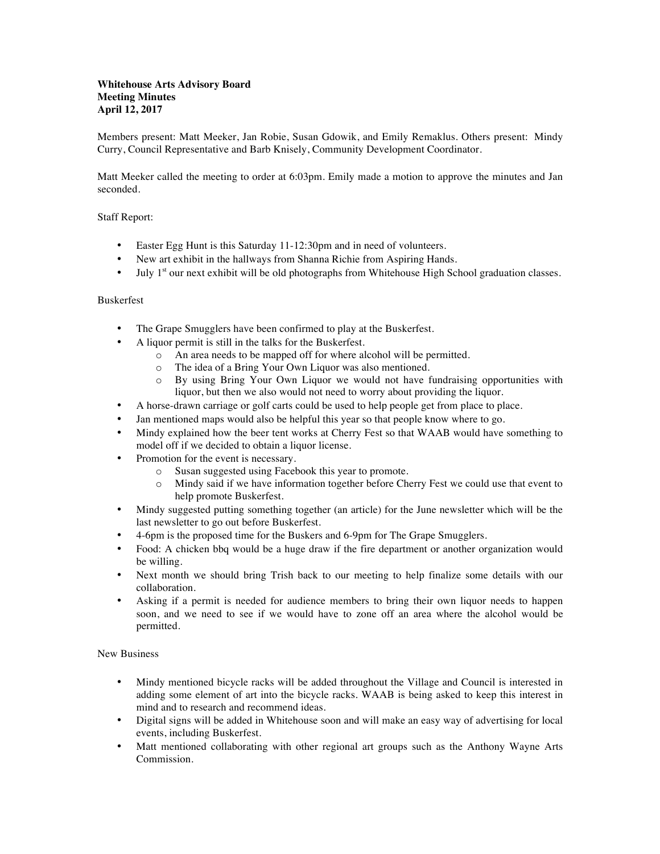## **Whitehouse Arts Advisory Board Meeting Minutes April 12, 2017**

Members present: Matt Meeker, Jan Robie, Susan Gdowik, and Emily Remaklus. Others present: Mindy Curry, Council Representative and Barb Knisely, Community Development Coordinator.

Matt Meeker called the meeting to order at 6:03pm. Emily made a motion to approve the minutes and Jan seconded.

## Staff Report:

- Easter Egg Hunt is this Saturday 11-12:30pm and in need of volunteers.
- New art exhibit in the hallways from Shanna Richie from Aspiring Hands.
- July  $1<sup>st</sup>$  our next exhibit will be old photographs from Whitehouse High School graduation classes.

## Buskerfest

- The Grape Smugglers have been confirmed to play at the Buskerfest.
- A liquor permit is still in the talks for the Buskerfest.
	- o An area needs to be mapped off for where alcohol will be permitted.
	- o The idea of a Bring Your Own Liquor was also mentioned.
	- o By using Bring Your Own Liquor we would not have fundraising opportunities with liquor, but then we also would not need to worry about providing the liquor.
- A horse-drawn carriage or golf carts could be used to help people get from place to place.
- Jan mentioned maps would also be helpful this year so that people know where to go.
- Mindy explained how the beer tent works at Cherry Fest so that WAAB would have something to model off if we decided to obtain a liquor license.
- Promotion for the event is necessary.
	- o Susan suggested using Facebook this year to promote.
	- o Mindy said if we have information together before Cherry Fest we could use that event to help promote Buskerfest.
- Mindy suggested putting something together (an article) for the June newsletter which will be the last newsletter to go out before Buskerfest.
- 4-6pm is the proposed time for the Buskers and 6-9pm for The Grape Smugglers.
- Food: A chicken bbq would be a huge draw if the fire department or another organization would be willing.
- Next month we should bring Trish back to our meeting to help finalize some details with our collaboration.
- Asking if a permit is needed for audience members to bring their own liquor needs to happen soon, and we need to see if we would have to zone off an area where the alcohol would be permitted.

New Business

- Mindy mentioned bicycle racks will be added throughout the Village and Council is interested in adding some element of art into the bicycle racks. WAAB is being asked to keep this interest in mind and to research and recommend ideas.
- Digital signs will be added in Whitehouse soon and will make an easy way of advertising for local events, including Buskerfest.
- Matt mentioned collaborating with other regional art groups such as the Anthony Wayne Arts Commission.